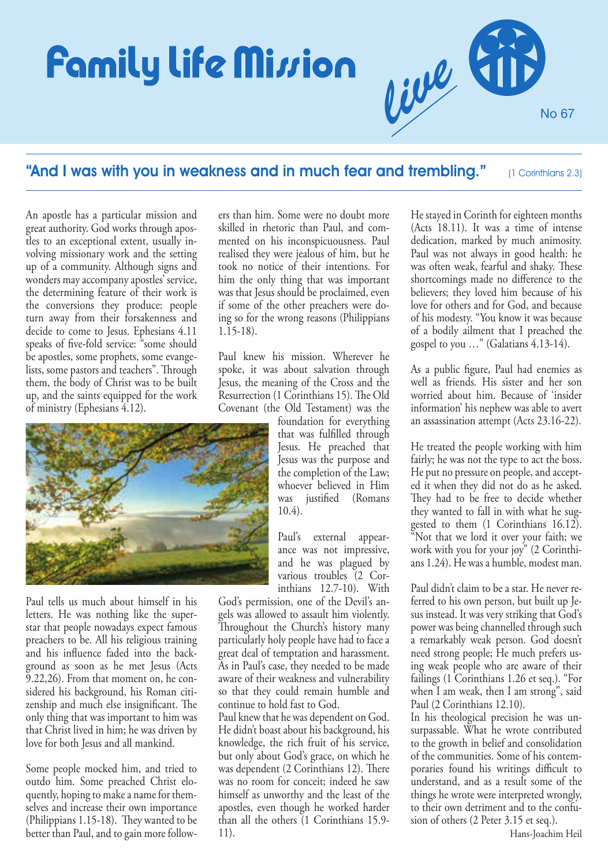# **Family life Mi**ssion



## "And I was with you in weakness and in much fear and trembling." (1 Corinthians 2.3)

An apostle has a particular mission and great authority. God works through apostles to an exceptional extent, usually involving missionary work and the setting up of a community. Although signs and wonders may accompany apostles' service, the determining feature of their work is the conversions they produce: people turn away from their forsakenness and decide to come to Jesus. Ephesians 4.11 speaks of five-fold service: "some should be apostles, some prophets, some evangelists, some pastors and teachers". Through them, the body of Christ was to be built up, and the saints equipped for the work of ministry (Ephesians 4.12).



Paul tells us much about himself in his letters. He was nothing like the superstar that people nowadays expect famous preachers to be. All his religious training and his influence faded into the background as soon as he met Jesus (Acts 9.22,26). From that moment on, he considered his background, his Roman citizenship and much else insignificant. The only thing that was important to him was that Christ lived in him; he was driven by love for both Jesus and all mankind.

Some people mocked him, and tried to outdo him. Some preached Christ eloquently, hoping to make a name for themselves and increase their own importance (Philippians 1.15-18). They wanted to be better than Paul, and to gain more followers than him. Some were no doubt more skilled in rhetoric than Paul, and commented on his inconspicuousness. Paul realised they were jealous of him, but he took no notice of their intentions. For him the only thing that was important was that Jesus should be proclaimed, even if some of the other preachers were doing so for the wrong reasons (Philippians 1.15-18).

Paul knew his mission. Wherever he spoke, it was about salvation through Jesus, the meaning of the Cross and the Resurrection (1 Corinthians 15). The Old Covenant (the Old Testament) was the

foundation for everything that was fulfilled through Jesus. He preached that Jesus was the purpose and the completion of the Law; whoever believed in Him was justified (Romans 10.4).

Paul's external appearance was not impressive, and he was plagued by various troubles (2 Corinthians 12.7-10). With

God's permission, one of the Devil's angels was allowed to assault him violently. Throughout the Church's history many particularly holy people have had to face a great deal of temptation and harassment. As in Paul's case, they needed to be made aware of their weakness and vulnerability so that they could remain humble and continue to hold fast to God.

Paul knew that he was dependent on God. He didn't boast about his background, his knowledge, the rich fruit of his service, but only about God's grace, on which he was dependent (2 Corinthians 12). There was no room for conceit; indeed he saw himself as unworthy and the least of the apostles, even though he worked harder than all the others (1 Corinthians 15.9- 11).

He stayed in Corinth for eighteen months (Acts 18.11). It was a time of intense dedication, marked by much animosity. Paul was not always in good health: he was often weak, fearful and shaky. These shortcomings made no difference to the believers; they loved him because of his love for others and for God, and because of his modesty. "You know it was because of a bodily ailment that I preached the gospel to you …" (Galatians 4.13-14).

As a public figure, Paul had enemies as well as friends. His sister and her son worried about him. Because of 'insider information' his nephew was able to avert an assassination attempt (Acts 23.16-22).

He treated the people working with him fairly; he was not the type to act the boss. He put no pressure on people, and accepted it when they did not do as he asked. They had to be free to decide whether they wanted to fall in with what he suggested to them (1 Corinthians 16.12). "Not that we lord it over your faith; we work with you for your joy" (2 Corinthians 1.24). He was a humble, modest man.

Paul didn't claim to be a star. He never referred to his own person, but built up Jesus instead. It was very striking that God's power was being channelled through such a remarkably weak person. God doesn't need strong people; He much prefers using weak people who are aware of their failings (1 Corinthians 1.26 et seq.). "For when I am weak, then I am strong", said Paul (2 Corinthians 12.10).

In his theological precision he was unsurpassable. What he wrote contributed to the growth in belief and consolidation of the communities. Some of his contemporaries found his writings difficult to understand, and as a result some of the things he wrote were interpreted wrongly, to their own detriment and to the confusion of others (2 Peter 3.15 et seq.).

Hans-Joachim Heil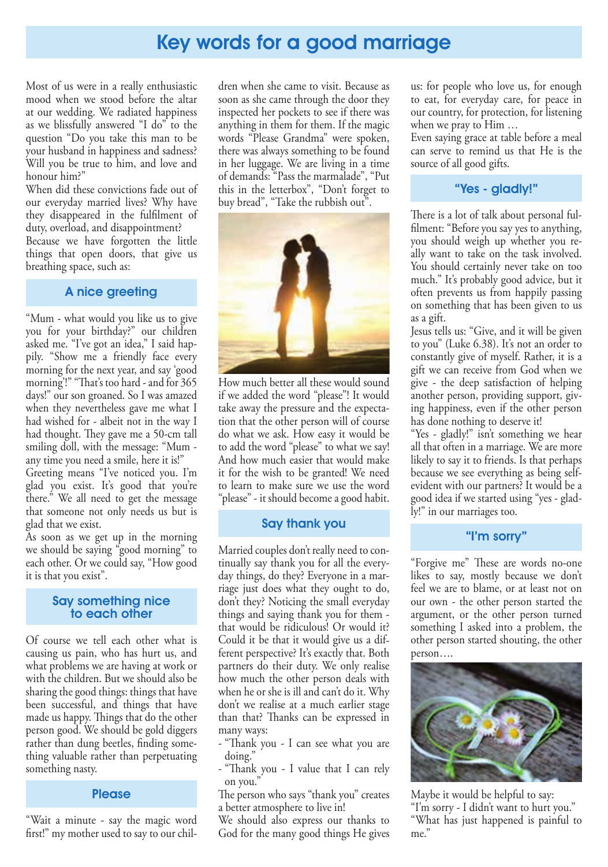# Key words for a good marriage

Most of us were in a really enthusiastic mood when we stood before the altar at our wedding. We radiated happiness as we blissfully answered "I do" to the question "Do you take this man to be your husband in happiness and sadness? Will you be true to him, and love and honour him?"

When did these convictions fade out of our everyday married lives? Why have they disappeared in the fullment of duty, overload, and disappointment? Because we have forgotten the little things that open doors, that give us breathing space, such as:

### A nice greeting

"Mum - what would you like us to give you for your birthday?" our children asked me. "I've got an idea," I said happily. "Show me a friendly face every morning for the next year, and say 'good morning'!" "That's too hard - and for 365 days!" our son groaned. So I was amazed when they nevertheless gave me what I had wished for - albeit not in the way I had thought. They gave me a 50-cm tall smiling doll, with the message: "Mum any time you need a smile, here it is!"

Greeting means "I've noticed you. I'm glad you exist. It's good that you're there." We all need to get the message that someone not only needs us but is glad that we exist.

As soon as we get up in the morning we should be saying "good morning" to each other. Or we could say, "How good it is that you exist".

#### Say something nice to each other

Of course we tell each other what is causing us pain, who has hurt us, and what problems we are having at work or with the children. But we should also be sharing the good things: things that have been successful, and things that have made us happy. Things that do the other person good. We should be gold diggers rather than dung beetles, finding something valuable rather than perpetuating something nasty.

#### **Please**

"Wait a minute - say the magic word first!" my mother used to say to our chil-

dren when she came to visit. Because as soon as she came through the door they inspected her pockets to see if there was anything in them for them. If the magic words "Please Grandma" were spoken, there was always something to be found in her luggage. We are living in a time of demands: "Pass the marmalade", "Put this in the letterbox", "Don't forget to buy bread", "Take the rubbish out".



How much better all these would sound if we added the word "please"! It would take away the pressure and the expectation that the other person will of course do what we ask. How easy it would be to add the word "please" to what we say! And how much easier that would make it for the wish to be granted! We need to learn to make sure we use the word "please" - it should become a good habit.

### Say thank you

Married couples don't really need to continually say thank you for all the everyday things, do they? Everyone in a marriage just does what they ought to do, don't they? Noticing the small everyday things and saying thank you for them that would be ridiculous! Or would it? Could it be that it would give us a different perspective? It's exactly that. Both partners do their duty. We only realise how much the other person deals with when he or she is ill and can't do it. Why don't we realise at a much earlier stage than that? Thanks can be expressed in many ways:

- "Thank you - I can see what you are doing."

- "Thank you - I value that I can rely on you."

The person who says "thank you" creates a better atmosphere to live in!

We should also express our thanks to God for the many good things He gives us: for people who love us, for enough to eat, for everyday care, for peace in our country, for protection, for listening when we pray to Him …

Even saying grace at table before a meal can serve to remind us that He is the source of all good gifts.

### "Yes - gladly!"

There is a lot of talk about personal fulfilment: "Before you say yes to anything, you should weigh up whether you really want to take on the task involved. You should certainly never take on too much." It's probably good advice, but it often prevents us from happily passing on something that has been given to us as a gift.

Jesus tells us: "Give, and it will be given to you" (Luke 6.38). It's not an order to constantly give of myself. Rather, it is a gift we can receive from God when we give - the deep satisfaction of helping another person, providing support, giving happiness, even if the other person has done nothing to deserve it!

"Yes - gladly!" isn't something we hear all that often in a marriage. We are more likely to say it to friends. Is that perhaps because we see everything as being selfevident with our partners? It would be a good idea if we started using "yes - gladly!" in our marriages too.

### "I'm sorry"

"Forgive me" These are words no-one likes to say, mostly because we don't feel we are to blame, or at least not on our own - the other person started the argument, or the other person turned something I asked into a problem, the other person started shouting, the other person….



Maybe it would be helpful to say: "I'm sorry - I didn't want to hurt you." "What has just happened is painful to me."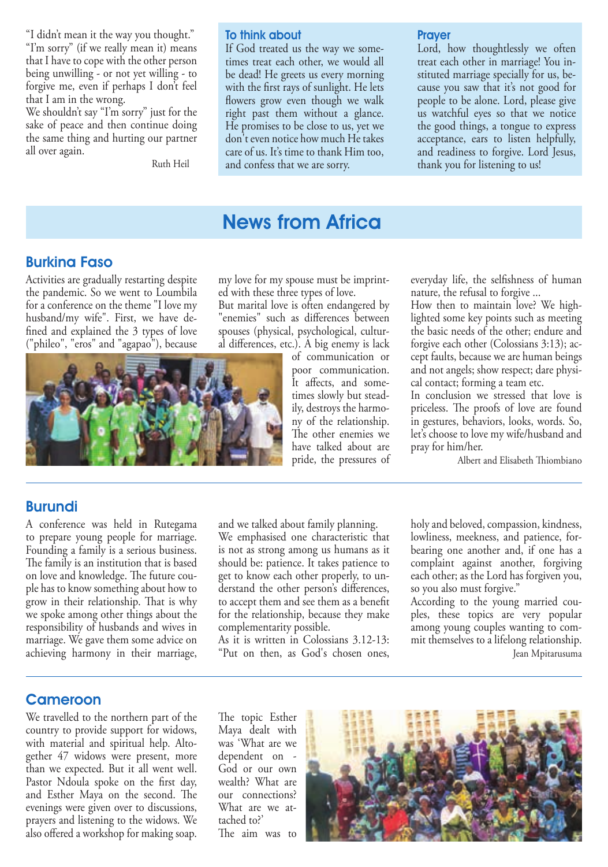"I didn't mean it the way you thought." "I'm sorry" (if we really mean it) means that I have to cope with the other person being unwilling - or not yet willing - to forgive me, even if perhaps I don't feel that I am in the wrong.

We shouldn't say "I'm sorry" just for the sake of peace and then continue doing the same thing and hurting our partner all over again.

Ruth Heil

#### To think about

If God treated us the way we sometimes treat each other, we would all be dead! He greets us every morning with the first rays of sunlight. He lets flowers grow even though we walk right past them without a glance. He promises to be close to us, yet we don't even notice how much He takes care of us. It's time to thank Him too, and confess that we are sorry.

#### **Prayer**

Lord, how thoughtlessly we often treat each other in marriage! You instituted marriage specially for us, because you saw that it's not good for people to be alone. Lord, please give us watchful eyes so that we notice the good things, a tongue to express acceptance, ears to listen helpfully, and readiness to forgive. Lord Jesus, thank you for listening to us!

# News from Africa

### Burkina Faso

Activities are gradually restarting despite the pandemic. So we went to Loumbila for a conference on the theme "I love my husband/my wife". First, we have de fined and explained the 3 types of love ("phileo", "eros" and "agapao"), because

my love for my spouse must be imprinted with these three types of love.

But marital love is often endangered by "enemies" such as differences between spouses (physical, psychological, cultural differences, etc.). A big enemy is lack

and we talked about family planning. We emphasised one characteristic that is not as strong among us humans as it should be: patience. It takes patience to get to know each other properly, to understand the other person's differences, to accept them and see them as a benefit for the relationship, because they make

As it is written in Colossians 3.12-13: "Put on then, as God's chosen ones,

complementarity possible.

of communication or poor communication. It affects, and sometimes slowly but steadily, destroys the harmony of the relationship. The other enemies we have talked about are pride, the pressures of

everyday life, the selfishness of human nature, the refusal to forgive ...

How then to maintain love? We highlighted some key points such as meeting the basic needs of the other; endure and forgive each other (Colossians 3:13); accept faults, because we are human beings and not angels; show respect; dare physical contact; forming a team etc.

In conclusion we stressed that love is priceless. The proofs of love are found in gestures, behaviors, looks, words. So, let's choose to love my wife/husband and pray for him/her.

holy and beloved, compassion, kindness, lowliness, meekness, and patience, forbearing one another and, if one has a complaint against another, forgiving each other; as the Lord has forgiven you,

According to the young married couples, these topics are very popular among young couples wanting to commit themselves to a lifelong relationship.

Jean Mpitarusuma

so you also must forgive."

Albert and Elisabeth Thiombiano

### Burundi

A conference was held in Rutegama to prepare young people for marriage. Founding a family is a serious business. The family is an institution that is based on love and knowledge. The future couple has to know something about how to grow in their relationship. That is why we spoke among other things about the responsibility of husbands and wives in marriage. We gave them some advice on achieving harmony in their marriage,

### Cameroon

We travelled to the northern part of the country to provide support for widows, with material and spiritual help. Altogether 47 widows were present, more than we expected. But it all went well. Pastor Ndoula spoke on the first day, and Esther Maya on the second. The evenings were given over to discussions, prayers and listening to the widows. We also offered a workshop for making soap.

The topic Esther Maya dealt with was 'What are we dependent on - God or our own wealth? What are our connections? What are we attached to?' The aim was to



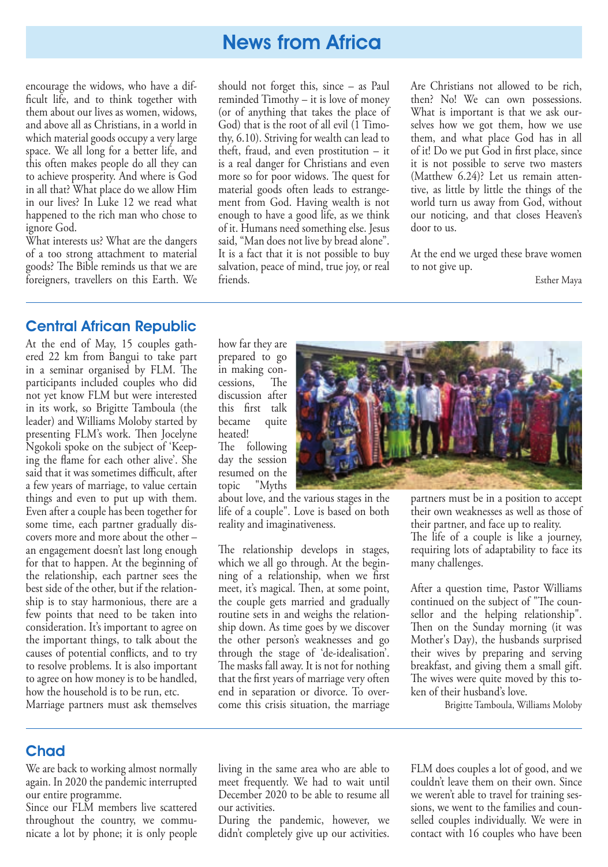encourage the widows, who have a dif ficult life, and to think together with them about our lives as women, widows, and above all as Christians, in a world in which material goods occupy a very large space. We all long for a better life, and this often makes people do all they can to achieve prosperity. And where is God in all that? What place do we allow Him in our lives? In Luke 12 we read what happened to the rich man who chose to ignore God.

What interests us? What are the dangers of a too strong attachment to material goods? The Bible reminds us that we are foreigners, travellers on this Earth. We should not forget this, since – as Paul reminded Timothy – it is love of money (or of anything that takes the place of God) that is the root of all evil (1 Timothy, 6.10). Striving for wealth can lead to theft, fraud, and even prostitution – it is a real danger for Christians and even more so for poor widows. The quest for material goods often leads to estrangement from God. Having wealth is not enough to have a good life, as we think of it. Humans need something else. Jesus said, "Man does not live by bread alone". It is a fact that it is not possible to buy salvation, peace of mind, true joy, or real friends.

Are Christians not allowed to be rich, then? No! We can own possessions. What is important is that we ask ourselves how we got them, how we use them, and what place God has in all of it! Do we put God in first place, since it is not possible to serve two masters (Matthew 6.24)? Let us remain attentive, as little by little the things of the world turn us away from God, without our noticing, and that closes Heaven's door to us.

At the end we urged these brave women to not give up.

Esther Maya

### Central African Republic

At the end of May, 15 couples gathered 22 km from Bangui to take part in a seminar organised by FLM. The participants included couples who did not yet know FLM but were interested in its work, so Brigitte Tamboula (the leader) and Williams Moloby started by presenting FLM's work. Then Jocelyne Ngokoli spoke on the subject of 'Keeping the flame for each other alive'. She said that it was sometimes difficult, after a few years of marriage, to value certain things and even to put up with them. Even after a couple has been together for some time, each partner gradually discovers more and more about the other – an engagement doesn't last long enough for that to happen. At the beginning of the relationship, each partner sees the best side of the other, but if the relationship is to stay harmonious, there are a few points that need to be taken into consideration. It's important to agree on the important things, to talk about the causes of potential conflicts, and to try to resolve problems. It is also important to agree on how money is to be handled, how the household is to be run, etc. Marriage partners must ask themselves

how far they are prepared to go in making con-<br>cessions, The cessions, discussion after this first talk became quite heated!

The following day the session resumed on the topic "Myths

about love, and the various stages in the life of a couple". Love is based on both reality and imaginativeness.

The relationship develops in stages, which we all go through. At the beginning of a relationship, when we first meet, it's magical. Then, at some point, the couple gets married and gradually routine sets in and weighs the relationship down. As time goes by we discover the other person's weaknesses and go through the stage of 'de-idealisation'. The masks fall away. It is not for nothing that the first years of marriage very often end in separation or divorce. To overcome this crisis situation, the marriage



partners must be in a position to accept their own weaknesses as well as those of their partner, and face up to reality. The life of a couple is like a journey, requiring lots of adaptability to face its many challenges.

After a question time, Pastor Williams continued on the subject of "The counsellor and the helping relationship". Then on the Sunday morning (it was Mother's Day), the husbands surprised their wives by preparing and serving breakfast, and giving them a small gift. The wives were quite moved by this token of their husband's love.

Brigitte Tamboula, Williams Moloby

### **Chad**

We are back to working almost normally again. In 2020 the pandemic interrupted our entire programme.

Since our FLM members live scattered throughout the country, we communicate a lot by phone; it is only people living in the same area who are able to meet frequently. We had to wait until December 2020 to be able to resume all our activities.

During the pandemic, however, we didn't completely give up our activities.

FLM does couples a lot of good, and we couldn't leave them on their own. Since we weren't able to travel for training sessions, we went to the families and counselled couples individually. We were in contact with 16 couples who have been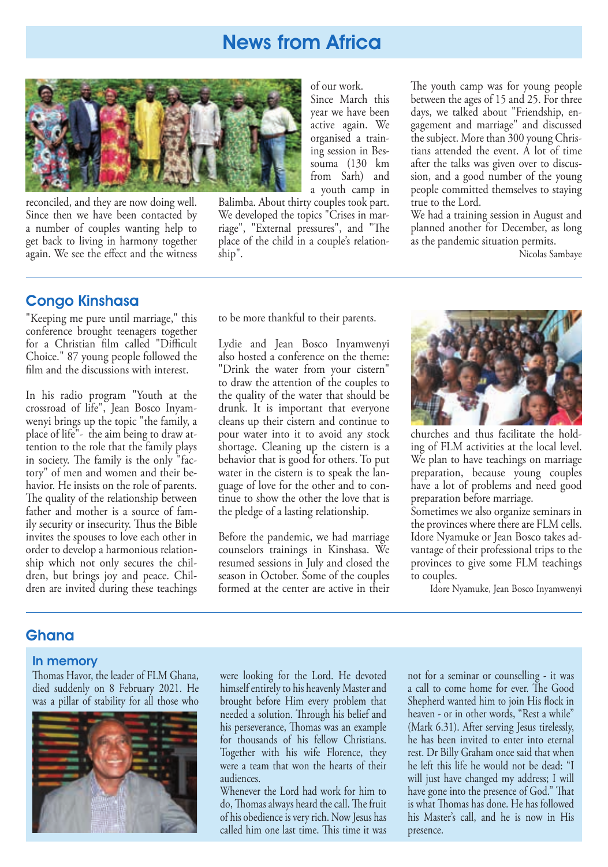

reconciled, and they are now doing well. Since then we have been contacted by a number of couples wanting help to get back to living in harmony together again. We see the effect and the witness

### Congo Kinshasa

"Keeping me pure until marriage," this conference brought teenagers together for a Christian film called "Difficult Choice." 87 young people followed the film and the discussions with interest.

In his radio program "Youth at the crossroad of life", Jean Bosco Inyamwenyi brings up the topic "the family, a place of life"- the aim being to draw attention to the role that the family plays in society. The family is the only "factory" of men and women and their behavior. He insists on the role of parents. The quality of the relationship between father and mother is a source of family security or insecurity. Thus the Bible invites the spouses to love each other in order to develop a harmonious relationship which not only secures the children, but brings joy and peace. Children are invited during these teachings

of our work. Since March this year we have been active again. We organised a training session in Bessouma (130 km from Sarh) and a youth camp in

Balimba. About thirty couples took part. We developed the topics "Crises in marriage", "External pressures", and "The place of the child in a couple's relationship".

The youth camp was for young people between the ages of 15 and 25. For three days, we talked about "Friendship, engagement and marriage" and discussed the subject. More than 300 young Christians attended the event. A lot of time after the talks was given over to discussion, and a good number of the young people committed themselves to staying true to the Lord.

We had a training session in August and planned another for December, as long as the pandemic situation permits.

Nicolas Sambaye

to be more thankful to their parents.

Lydie and Jean Bosco Inyamwenyi also hosted a conference on the theme: "Drink the water from your cistern" to draw the attention of the couples to the quality of the water that should be drunk. It is important that everyone cleans up their cistern and continue to pour water into it to avoid any stock shortage. Cleaning up the cistern is a behavior that is good for others. To put water in the cistern is to speak the language of love for the other and to continue to show the other the love that is the pledge of a lasting relationship.

Before the pandemic, we had marriage counselors trainings in Kinshasa. We resumed sessions in July and closed the season in October. Some of the couples formed at the center are active in their



churches and thus facilitate the holding of FLM activities at the local level. We plan to have teachings on marriage preparation, because young couples have a lot of problems and need good preparation before marriage.

Sometimes we also organize seminars in the provinces where there are FLM cells. Idore Nyamuke or Jean Bosco takes advantage of their professional trips to the provinces to give some FLM teachings to couples.

Idore Nyamuke, Jean Bosco Inyamwenyi

### Ghana

### In memory

Thomas Havor, the leader of FLM Ghana, died suddenly on 8 February 2021. He was a pillar of stability for all those who



were looking for the Lord. He devoted himself entirely to his heavenly Master and brought before Him every problem that needed a solution. Through his belief and his perseverance, Thomas was an example for thousands of his fellow Christians. Together with his wife Florence, they were a team that won the hearts of their audiences.

Whenever the Lord had work for him to do, Thomas always heard the call. The fruit of his obedience is very rich. Now Jesus has called him one last time. This time it was

not for a seminar or counselling - it was a call to come home for ever. The Good Shepherd wanted him to join His flock in heaven - or in other words, "Rest a while" (Mark 6.31). After serving Jesus tirelessly, he has been invited to enter into eternal rest. Dr Billy Graham once said that when he left this life he would not be dead: "I will just have changed my address; I will have gone into the presence of God." That is what Thomas has done. He has followed his Master's call, and he is now in His presence.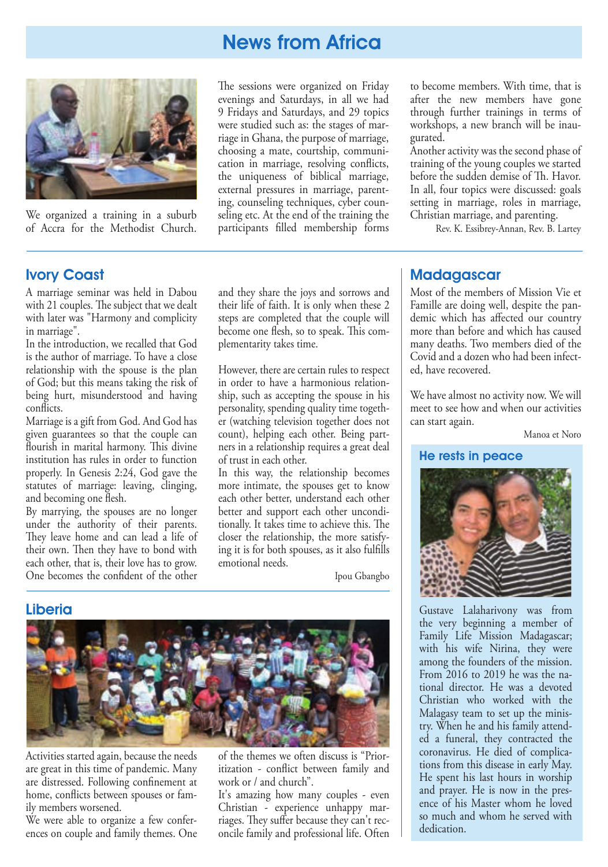

We organized a training in a suburb of Accra for the Methodist Church.

Ivory Coast

A marriage seminar was held in Dabou with 21 couples. The subject that we dealt with later was "Harmony and complicity in marriage".

In the introduction, we recalled that God is the author of marriage. To have a close relationship with the spouse is the plan of God; but this means taking the risk of being hurt, misunderstood and having conflicts.

Marriage is a gift from God. And God has given guarantees so that the couple can Hourish in marital harmony. This divine institution has rules in order to function properly. In Genesis 2:24, God gave the statutes of marriage: leaving, clinging, and becoming one flesh.

By marrying, the spouses are no longer under the authority of their parents. They leave home and can lead a life of their own. Then they have to bond with each other, that is, their love has to grow. One becomes the confident of the other

The sessions were organized on Friday evenings and Saturdays, in all we had 9 Fridays and Saturdays, and 29 topics were studied such as: the stages of marriage in Ghana, the purpose of marriage, choosing a mate, courtship, communication in marriage, resolving conflicts, the uniqueness of biblical marriage, external pressures in marriage, parenting, counseling techniques, cyber counseling etc. At the end of the training the participants filled membership forms

and they share the joys and sorrows and their life of faith. It is only when these 2 steps are completed that the couple will become one flesh, so to speak. This com-

However, there are certain rules to respect in order to have a harmonious relationship, such as accepting the spouse in his personality, spending quality time together (watching television together does not count), helping each other. Being partners in a relationship requires a great deal

In this way, the relationship becomes more intimate, the spouses get to know each other better, understand each other better and support each other unconditionally. It takes time to achieve this. The closer the relationship, the more satisfying it is for both spouses, as it also fullls

Ipou Gbangbo

plementarity takes time.

of trust in each other.

emotional needs.

to become members. With time, that is after the new members have gone through further trainings in terms of workshops, a new branch will be inaugurated.

Another activity was the second phase of training of the young couples we started before the sudden demise of Th. Havor. In all, four topics were discussed: goals setting in marriage, roles in marriage, Christian marriage, and parenting.

Rev. K. Essibrey-Annan, Rev. B. Lartey

### **Madagascar**

Most of the members of Mission Vie et Famille are doing well, despite the pandemic which has affected our country more than before and which has caused many deaths. Two members died of the Covid and a dozen who had been infected, have recovered.

We have almost no activity now. We will meet to see how and when our activities can start again.

Manoa et Noro

#### He rests in peace



Gustave Lalaharivony was from the very beginning a member of Family Life Mission Madagascar; with his wife Nirina, they were among the founders of the mission. From 2016 to 2019 he was the national director. He was a devoted Christian who worked with the Malagasy team to set up the ministry. When he and his family attended a funeral, they contracted the coronavirus. He died of complications from this disease in early May. He spent his last hours in worship and prayer. He is now in the presence of his Master whom he loved so much and whom he served with dedication.

### Liberia



Activities started again, because the needs are great in this time of pandemic. Many are distressed. Following confinement at home, conflicts between spouses or family members worsened.

We were able to organize a few conferences on couple and family themes. One of the themes we often discuss is "Prioritization - conflict between family and work or / and church".

It's amazing how many couples - even Christian - experience unhappy marriages. They suffer because they can't reconcile family and professional life. Often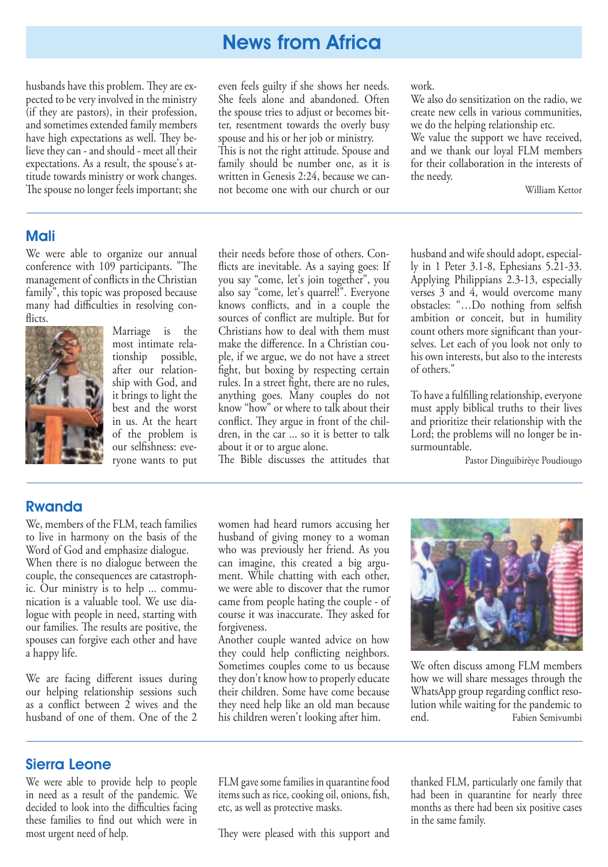husbands have this problem. They are expected to be very involved in the ministry (if they are pastors), in their profession, and sometimes extended family members have high expectations as well. They believe they can - and should - meet all their expectations. As a result, the spouse's attitude towards ministry or work changes. The spouse no longer feels important; she

### Mali

We were able to organize our annual conference with 109 participants. "The management of conflicts in the Christian family", this topic was proposed because many had difficulties in resolving conflicts.



Marriage is the most intimate relationship possible, after our relationship with God, and it brings to light the best and the worst in us. At the heart of the problem is our selfishness: everyone wants to put

even feels guilty if she shows her needs. She feels alone and abandoned. Often the spouse tries to adjust or becomes bitter, resentment towards the overly busy spouse and his or her job or ministry. This is not the right attitude. Spouse and family should be number one, as it is written in Genesis 2:24, because we cannot become one with our church or our

work.

We also do sensitization on the radio, we create new cells in various communities, we do the helping relationship etc.

We value the support we have received, and we thank our loyal FLM members for their collaboration in the interests of the needy.

William Kettor

their needs before those of others. Con flicts are inevitable. As a saying goes: If you say "come, let's join together", you also say "come, let's quarrel!". Everyone knows conflicts, and in a couple the sources of conflict are multiple. But for Christians how to deal with them must make the difference. In a Christian couple, if we argue, we do not have a street fight, but boxing by respecting certain rules. In a street fight, there are no rules, anything goes. Many couples do not know "how" or where to talk about their conflict. They argue in front of the children, in the car ... so it is better to talk about it or to argue alone.

The Bible discusses the attitudes that

husband and wife should adopt, especially in 1 Peter 3.1-8, Ephesians 5.21-33. Applying Philippians 2.3-13, especially verses 3 and 4, would overcome many obstacles: "...Do nothing from selfish ambition or conceit, but in humility count others more significant than yourselves. Let each of you look not only to his own interests, but also to the interests of others."

To have a fulfilling relationship, everyone must apply biblical truths to their lives and prioritize their relationship with the Lord; the problems will no longer be insurmountable.

Pastor Dinguibirèye Poudiougo

### Rwanda

We, members of the FLM, teach families to live in harmony on the basis of the Word of God and emphasize dialogue. When there is no dialogue between the couple, the consequences are catastrophic. Our ministry is to help ... commu-

nication is a valuable tool. We use dialogue with people in need, starting with our families. The results are positive, the spouses can forgive each other and have a happy life.

We are facing different issues during our helping relationship sessions such as a conflict between  $2$  wives and the husband of one of them. One of the 2

women had heard rumors accusing her husband of giving money to a woman who was previously her friend. As you can imagine, this created a big argument. While chatting with each other, we were able to discover that the rumor came from people hating the couple - of course it was inaccurate. They asked for forgiveness.

Another couple wanted advice on how they could help conflicting neighbors. Sometimes couples come to us because they don't know how to properly educate their children. Some have come because they need help like an old man because his children weren't looking after him.



We often discuss among FLM members how we will share messages through the WhatsApp group regarding conflict resolution while waiting for the pandemic to end. Fabien Semivumbi

### Sierra Leone

We were able to provide help to people in need as a result of the pandemic. We decided to look into the difficulties facing these families to find out which were in most urgent need of help.

FLM gave some families in quarantine food items such as rice, cooking oil, onions, fish, etc, as well as protective masks.

They were pleased with this support and

thanked FLM, particularly one family that had been in quarantine for nearly three months as there had been six positive cases in the same family.